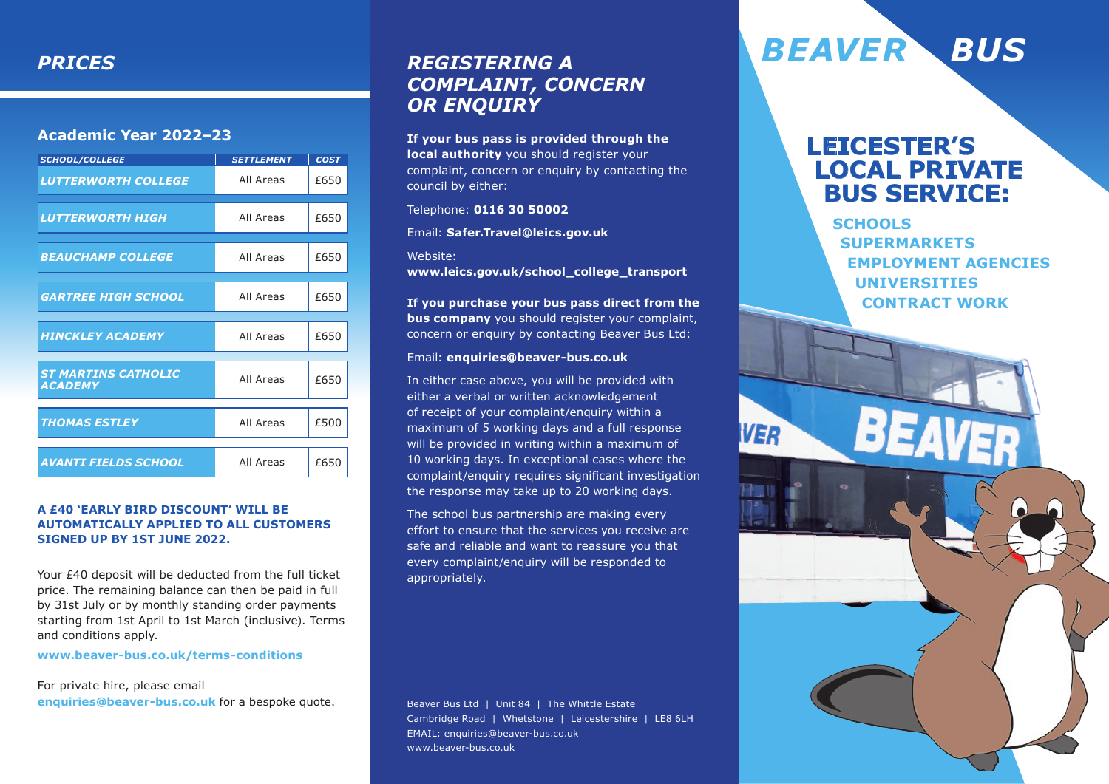### **Academic Year 2022–23**

| <b>SCHOOL/COLLEGE</b>                        | <b>SETTLEMENT</b> | <b>COST</b> |
|----------------------------------------------|-------------------|-------------|
| <b>LUTTERWORTH COLLEGE</b>                   | All Areas         | £650        |
| LUTTERWORTH HIGH                             | All Areas         | £650        |
| <b>BEAUCHAMP COLLEGE</b>                     | All Areas         | £650        |
| <b>GARTREE HIGH SCHOOL</b>                   | All Areas         | £650        |
| <b>HINCKLEY ACADEMY</b>                      | All Areas         | £650        |
| <b>ST MARTINS CATHOLIC</b><br><b>ACADEMY</b> | All Areas         | £650        |
| <b>THOMAS ESTLEY</b>                         | All Areas         | £500        |
| <b>AVANTI FIELDS SCHOOL</b>                  | All Areas         | £650        |

### **A £40 'Early Bird Discount' will be automatically applied to ALL customers signed up by 1st June 2022.**

Your £40 deposit will be deducted from the full ticket price. The remaining balance can then be paid in full by 31st July or by monthly standing order payments starting from 1st April to 1st March (inclusive). Terms and conditions apply.

#### **www.beaver-bus.co.uk/terms-conditions**

For private hire, please email **enquiries@beaver-bus.co.uk** for a bespoke quote.

# *Complaint, Concern or Enquiry*

**If your bus pass is provided through the local authority** you should register your complaint, concern or enquiry by contacting the council by either:

Telephone: **0116 30 50002**

Email: **Safer.Travel@leics.gov.uk**

Website:

**www.leics.gov.uk/school\_college\_transport**

**If you purchase your bus pass direct from the bus company** you should register your complaint, concern or enquiry by contacting Beaver Bus Ltd:

### Email: **enquiries@beaver-bus.co.uk**

In either case above, you will be provided with either a verbal or written acknowledgement of receipt of your complaint/enquiry within a maximum of 5 working days and a full response will be provided in writing within a maximum of 10 working days. In exceptional cases where the complaint/enquiry requires significant investigation the response may take up to 20 working days.

The school bus partnership are making every effort to ensure that the services you receive are safe and reliable and want to reassure you that every complaint/enquiry will be responded to appropriately.

Beaver Bus Ltd | Unit 84 | The Whittle Estate Cambridge Road | Whetstone | Leicestershire | LE8 6LH EMAIL: enquiries@beaver-bus.co.uk www.beaver-bus.co.uk

# *Prices Registering a BEAVER BUS*

**VER** 

# **Leicester's Local Private Bus Service:**

**Schools Supermarkets Employment agencies Universities Contract work**